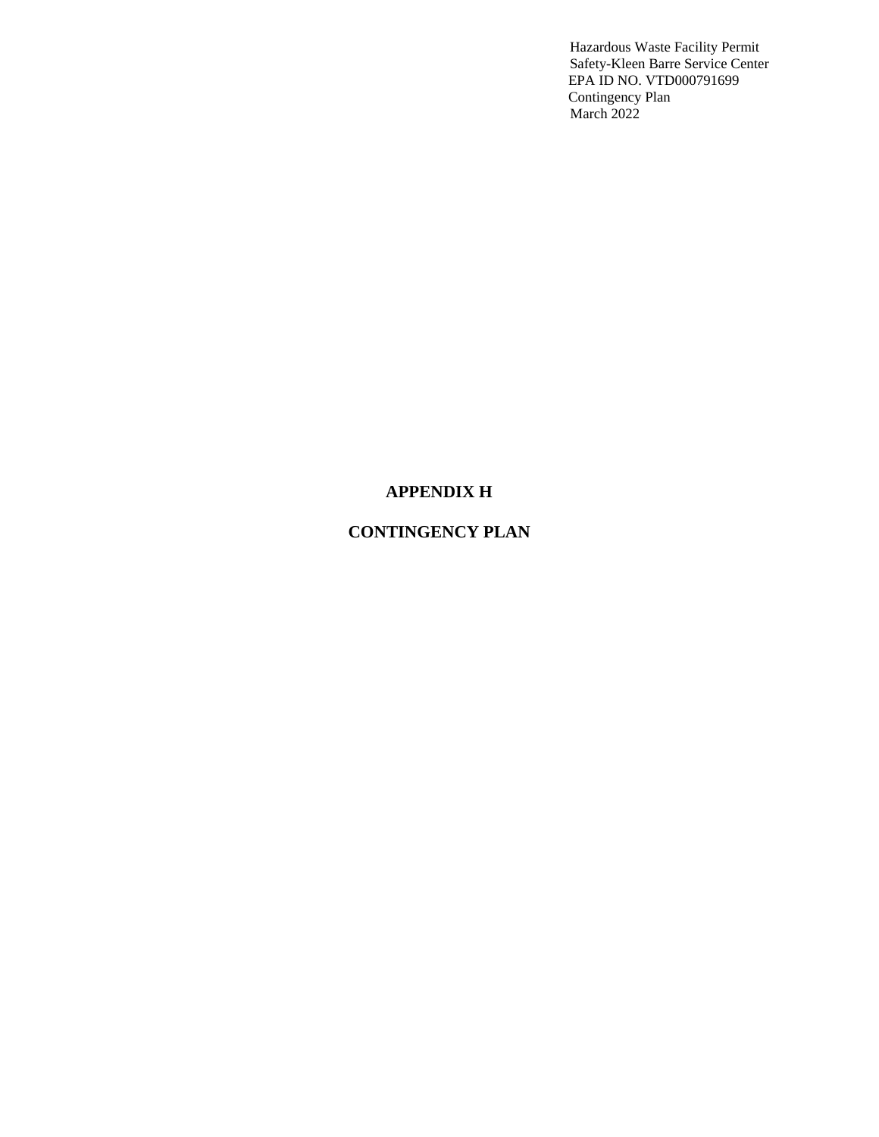# **APPENDIX H**

# **CONTINGENCY PLAN**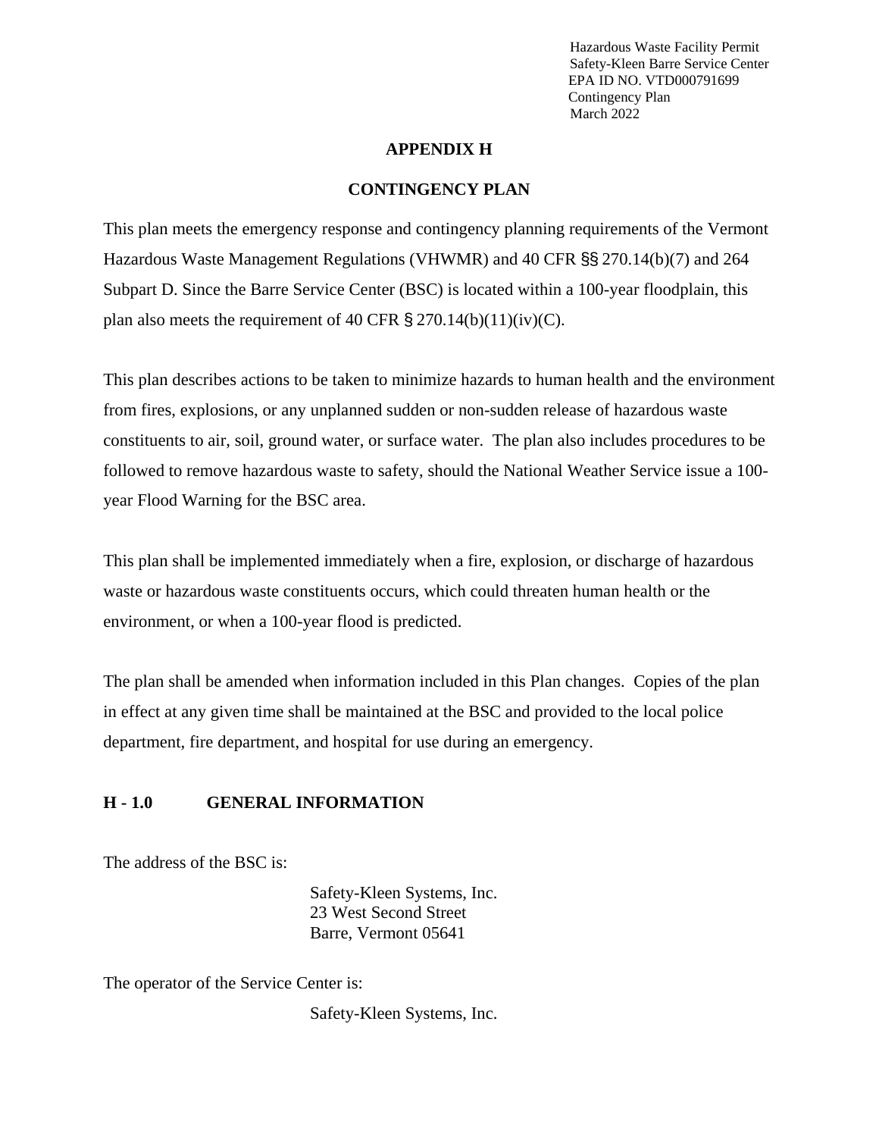#### **APPENDIX H**

#### **CONTINGENCY PLAN**

This plan meets the emergency response and contingency planning requirements of the Vermont Hazardous Waste Management Regulations (VHWMR) and 40 CFR §§ 270.14(b)(7) and 264 Subpart D. Since the Barre Service Center (BSC) is located within a 100-year floodplain, this plan also meets the requirement of 40 CFR  $\S 270.14(b)(11)(iv)(C)$ .

This plan describes actions to be taken to minimize hazards to human health and the environment from fires, explosions, or any unplanned sudden or non-sudden release of hazardous waste constituents to air, soil, ground water, or surface water. The plan also includes procedures to be followed to remove hazardous waste to safety, should the National Weather Service issue a 100 year Flood Warning for the BSC area.

This plan shall be implemented immediately when a fire, explosion, or discharge of hazardous waste or hazardous waste constituents occurs, which could threaten human health or the environment, or when a 100-year flood is predicted.

The plan shall be amended when information included in this Plan changes. Copies of the plan in effect at any given time shall be maintained at the BSC and provided to the local police department, fire department, and hospital for use during an emergency.

## **H - 1.0 GENERAL INFORMATION**

The address of the BSC is:

Safety-Kleen Systems, Inc. 23 West Second Street Barre, Vermont 05641

The operator of the Service Center is:

Safety-Kleen Systems, Inc.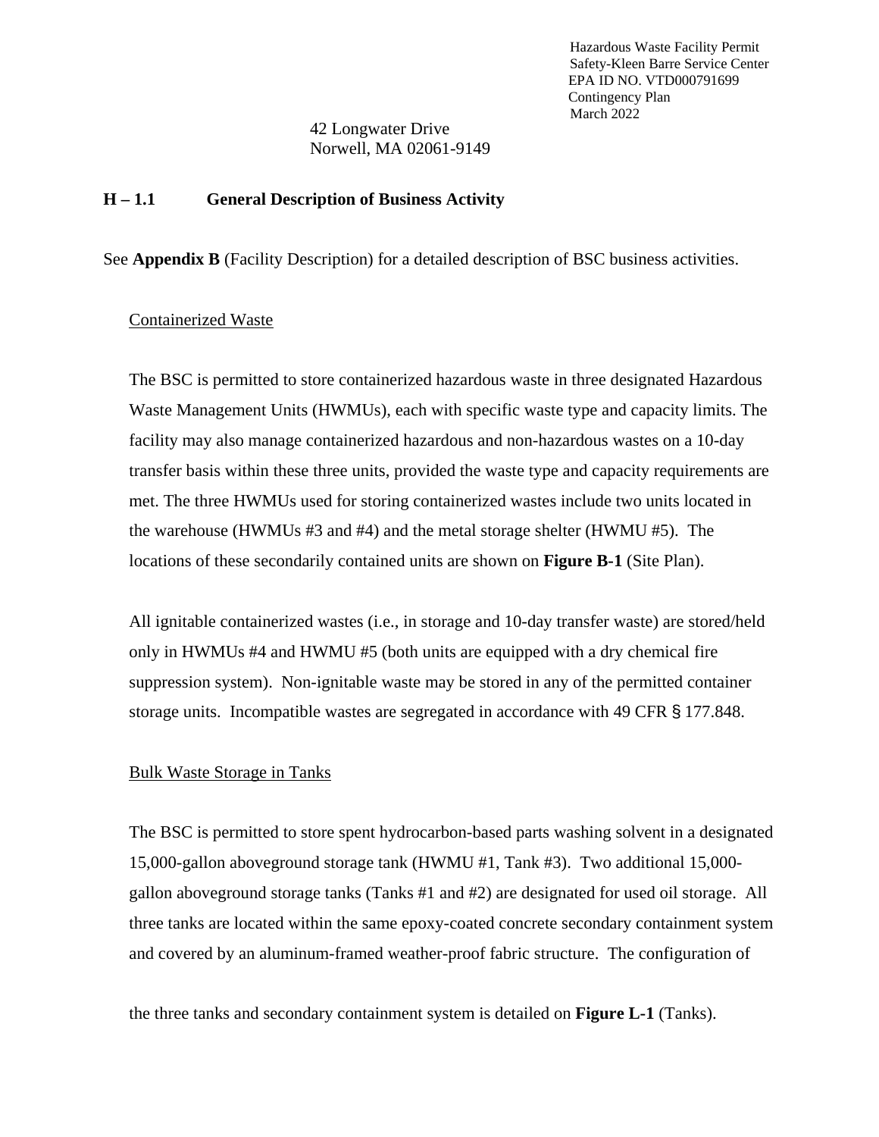42 Longwater Drive Norwell, MA 02061-9149

#### **H – 1.1 General Description of Business Activity**

See **Appendix B** (Facility Description) for a detailed description of BSC business activities.

#### Containerized Waste

The BSC is permitted to store containerized hazardous waste in three designated Hazardous Waste Management Units (HWMUs), each with specific waste type and capacity limits. The facility may also manage containerized hazardous and non-hazardous wastes on a 10-day transfer basis within these three units, provided the waste type and capacity requirements are met. The three HWMUs used for storing containerized wastes include two units located in the warehouse (HWMUs #3 and #4) and the metal storage shelter (HWMU #5). The locations of these secondarily contained units are shown on **Figure B-1** (Site Plan).

All ignitable containerized wastes (i.e., in storage and 10-day transfer waste) are stored/held only in HWMUs #4 and HWMU #5 (both units are equipped with a dry chemical fire suppression system). Non-ignitable waste may be stored in any of the permitted container storage units. Incompatible wastes are segregated in accordance with 49 CFR § 177.848.

#### Bulk Waste Storage in Tanks

The BSC is permitted to store spent hydrocarbon-based parts washing solvent in a designated 15,000-gallon aboveground storage tank (HWMU #1, Tank #3). Two additional 15,000 gallon aboveground storage tanks (Tanks #1 and #2) are designated for used oil storage. All three tanks are located within the same epoxy-coated concrete secondary containment system and covered by an aluminum-framed weather-proof fabric structure. The configuration of

the three tanks and secondary containment system is detailed on **Figure L-1** (Tanks).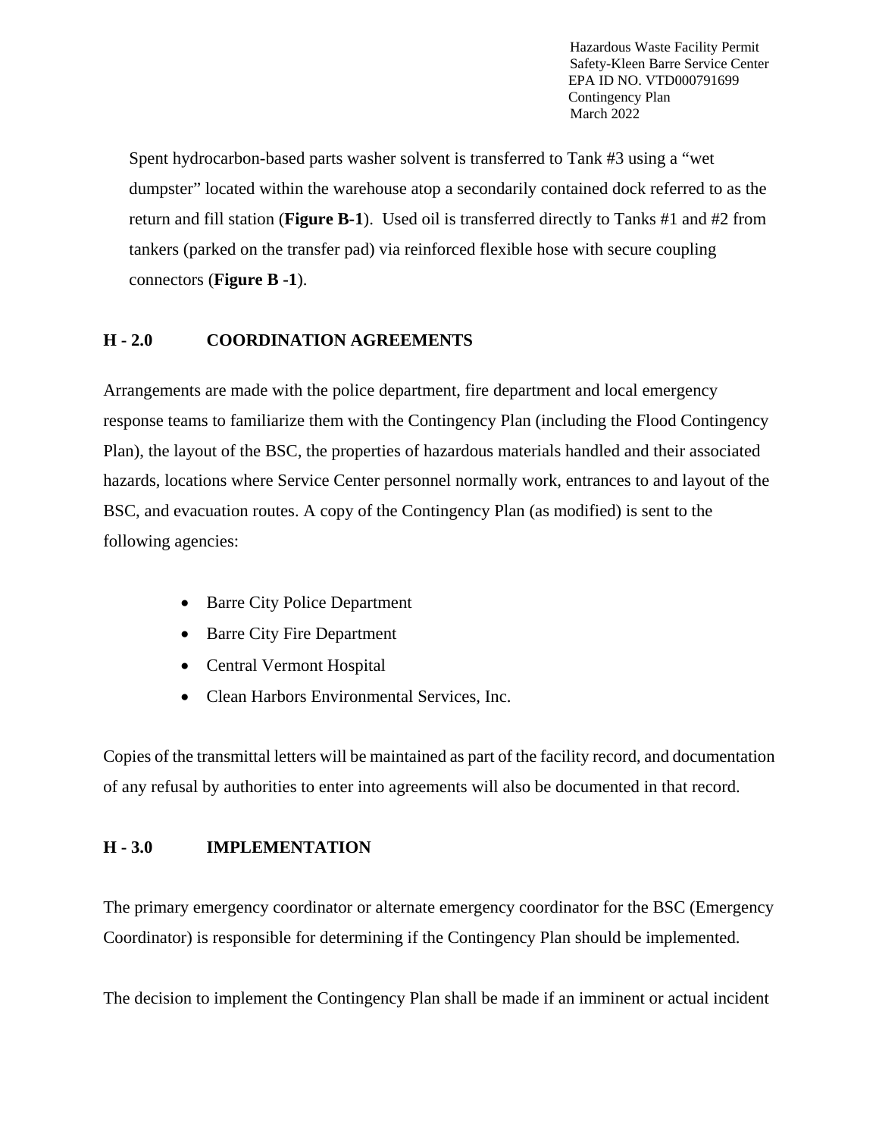Spent hydrocarbon-based parts washer solvent is transferred to Tank #3 using a "wet dumpster" located within the warehouse atop a secondarily contained dock referred to as the return and fill station (**Figure B-1**). Used oil is transferred directly to Tanks #1 and #2 from tankers (parked on the transfer pad) via reinforced flexible hose with secure coupling connectors (**Figure B -1**).

#### **H - 2.0 COORDINATION AGREEMENTS**

Arrangements are made with the police department, fire department and local emergency response teams to familiarize them with the Contingency Plan (including the Flood Contingency Plan), the layout of the BSC, the properties of hazardous materials handled and their associated hazards, locations where Service Center personnel normally work, entrances to and layout of the BSC, and evacuation routes. A copy of the Contingency Plan (as modified) is sent to the following agencies:

- Barre City Police Department
- Barre City Fire Department
- Central Vermont Hospital
- Clean Harbors Environmental Services, Inc.

Copies of the transmittal letters will be maintained as part of the facility record, and documentation of any refusal by authorities to enter into agreements will also be documented in that record.

#### **H - 3.0 IMPLEMENTATION**

The primary emergency coordinator or alternate emergency coordinator for the BSC (Emergency Coordinator) is responsible for determining if the Contingency Plan should be implemented.

The decision to implement the Contingency Plan shall be made if an imminent or actual incident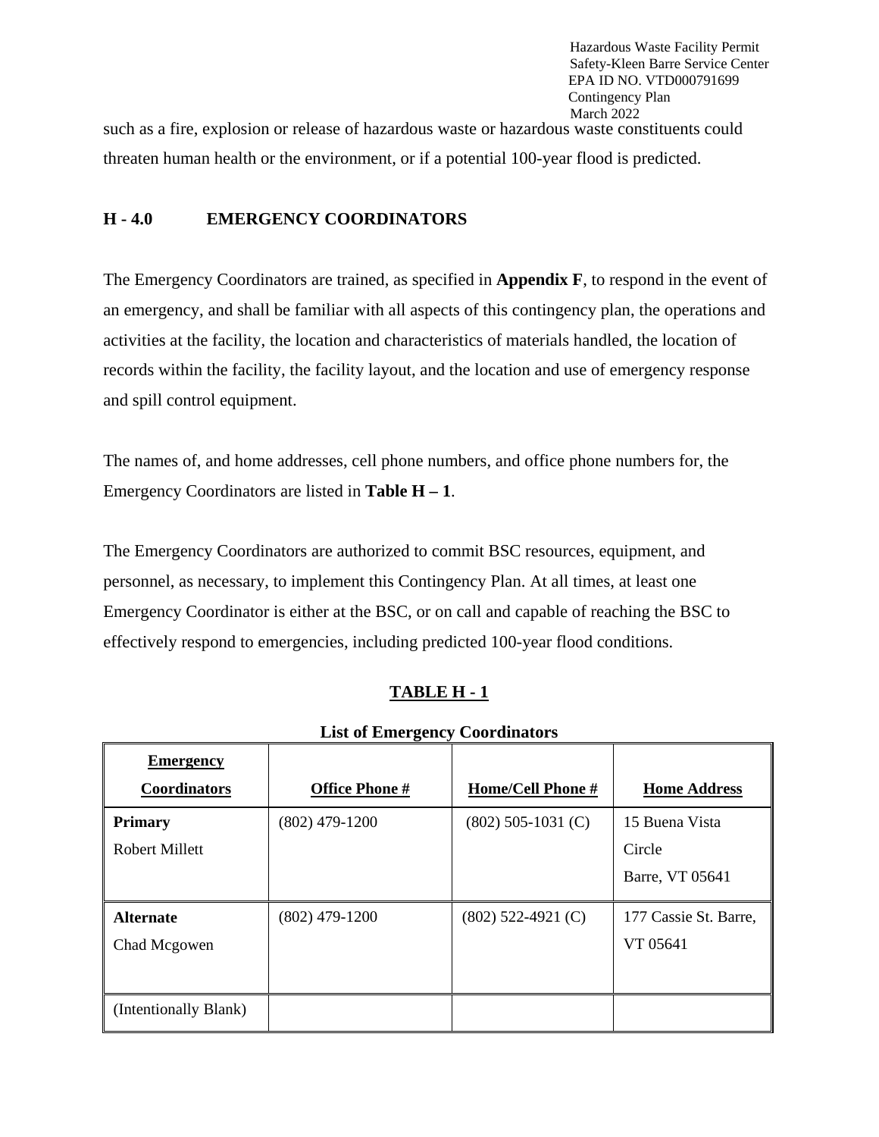threaten human health or the environment, or if a potential 100-year flood is predicted. such as a fire, explosion or release of hazardous waste or hazardous waste constituents could

#### **H - 4.0 EMERGENCY COORDINATORS**

The Emergency Coordinators are trained, as specified in **Appendix F**, to respond in the event of an emergency, and shall be familiar with all aspects of this contingency plan, the operations and activities at the facility, the location and characteristics of materials handled, the location of records within the facility, the facility layout, and the location and use of emergency response and spill control equipment.

The names of, and home addresses, cell phone numbers, and office phone numbers for, the Emergency Coordinators are listed in **Table H – 1**.

The Emergency Coordinators are authorized to commit BSC resources, equipment, and personnel, as necessary, to implement this Contingency Plan. At all times, at least one Emergency Coordinator is either at the BSC, or on call and capable of reaching the BSC to effectively respond to emergencies, including predicted 100-year flood conditions.

# **TABLE H - 1**

| List of Emicrgency Coorumators |                       |                      |                       |  |  |  |  |  |  |  |  |
|--------------------------------|-----------------------|----------------------|-----------------------|--|--|--|--|--|--|--|--|
| <b>Emergency</b>               |                       |                      |                       |  |  |  |  |  |  |  |  |
| <b>Coordinators</b>            | <b>Office Phone #</b> | Home/Cell Phone #    | <b>Home Address</b>   |  |  |  |  |  |  |  |  |
| <b>Primary</b>                 | $(802)$ 479-1200      | $(802)$ 505-1031 (C) | 15 Buena Vista        |  |  |  |  |  |  |  |  |
| Robert Millett                 |                       |                      | Circle                |  |  |  |  |  |  |  |  |
|                                |                       |                      | Barre, VT 05641       |  |  |  |  |  |  |  |  |
| <b>Alternate</b>               | $(802)$ 479-1200      | $(802)$ 522-4921 (C) | 177 Cassie St. Barre, |  |  |  |  |  |  |  |  |
| Chad Mcgowen                   |                       |                      | VT 05641              |  |  |  |  |  |  |  |  |
|                                |                       |                      |                       |  |  |  |  |  |  |  |  |
| (Intentionally Blank)          |                       |                      |                       |  |  |  |  |  |  |  |  |

**List of Emergency Coordinators**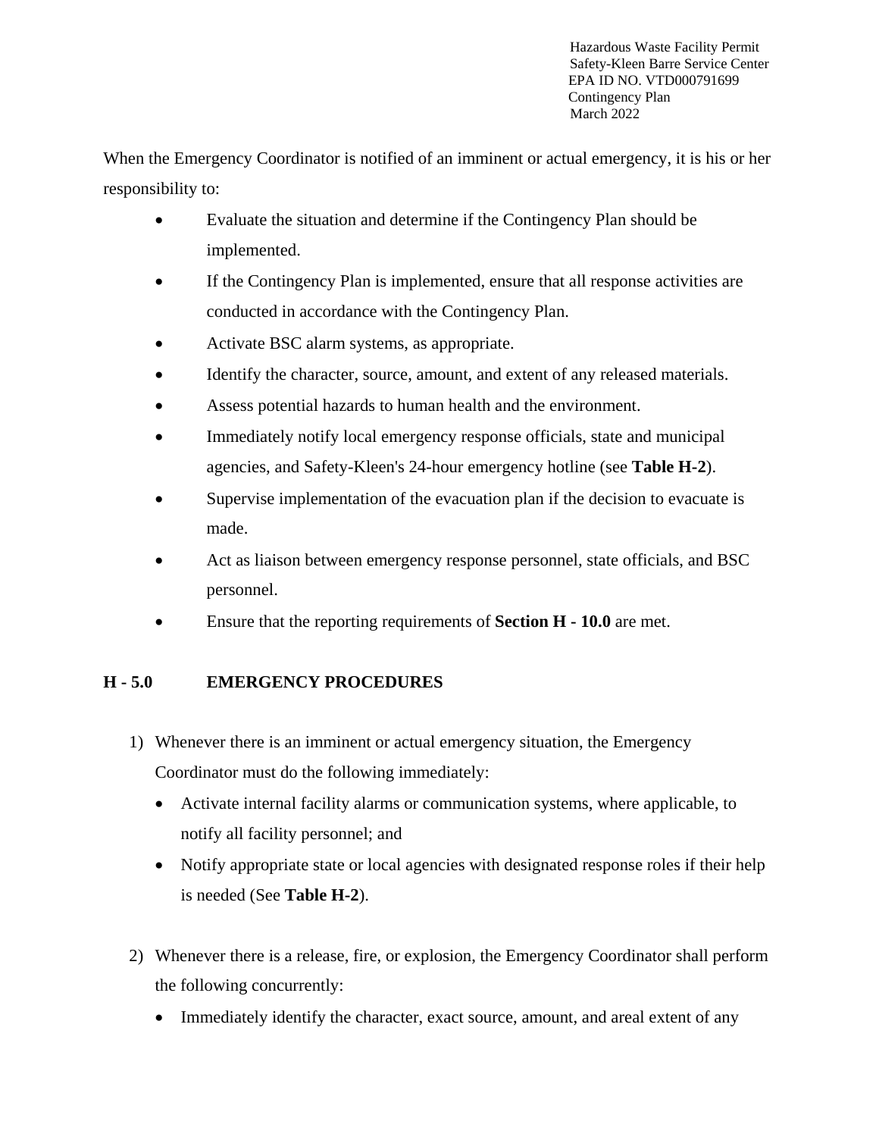When the Emergency Coordinator is notified of an imminent or actual emergency, it is his or her responsibility to:

- Evaluate the situation and determine if the Contingency Plan should be implemented.
- If the Contingency Plan is implemented, ensure that all response activities are conducted in accordance with the Contingency Plan.
- Activate BSC alarm systems, as appropriate.
- Identify the character, source, amount, and extent of any released materials.
- Assess potential hazards to human health and the environment.
- Immediately notify local emergency response officials, state and municipal agencies, and Safety-Kleen's 24-hour emergency hotline (see **Table H-2**).
- Supervise implementation of the evacuation plan if the decision to evacuate is made.
- Act as liaison between emergency response personnel, state officials, and BSC personnel.
- Ensure that the reporting requirements of **Section H - 10.0** are met.

# **H - 5.0 EMERGENCY PROCEDURES**

- 1) Whenever there is an imminent or actual emergency situation, the Emergency Coordinator must do the following immediately:
	- Activate internal facility alarms or communication systems, where applicable, to notify all facility personnel; and
	- Notify appropriate state or local agencies with designated response roles if their help is needed (See **Table H-2**).
- 2) Whenever there is a release, fire, or explosion, the Emergency Coordinator shall perform the following concurrently:
	- Immediately identify the character, exact source, amount, and areal extent of any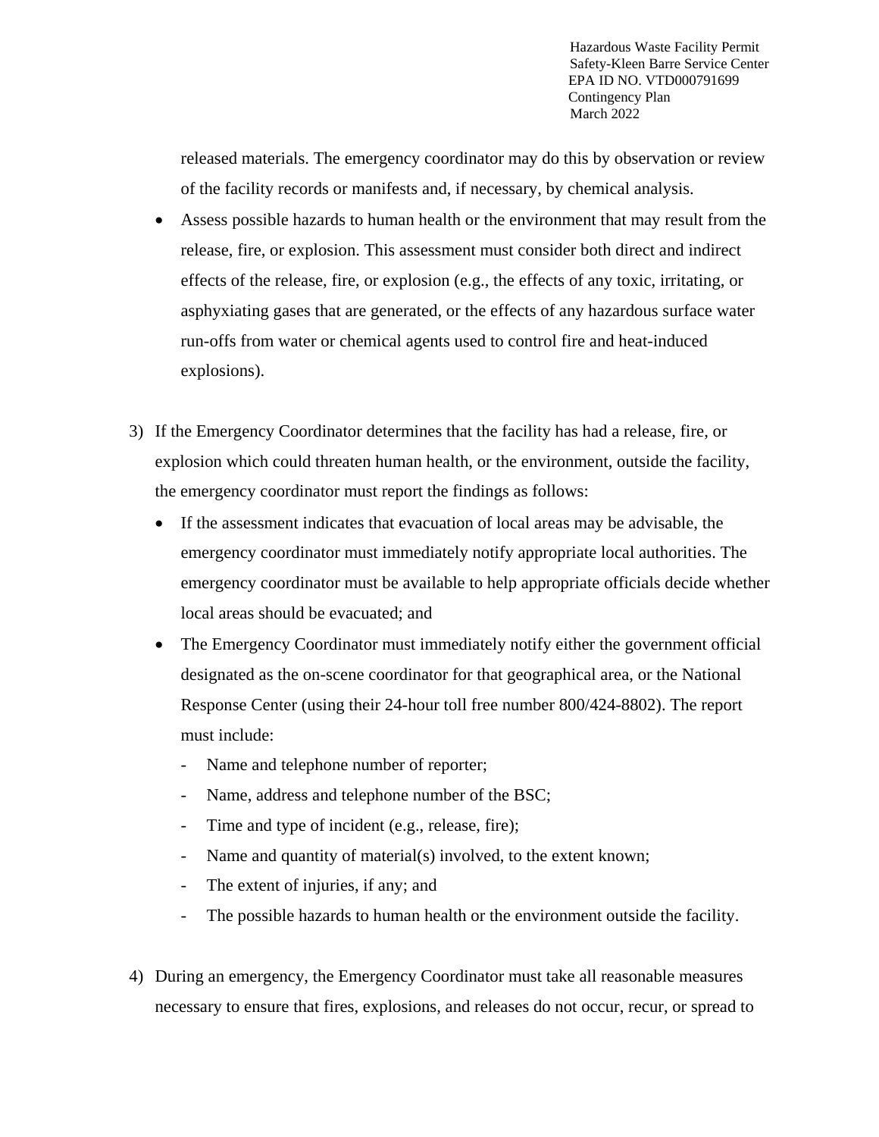released materials. The emergency coordinator may do this by observation or review of the facility records or manifests and, if necessary, by chemical analysis.

- Assess possible hazards to human health or the environment that may result from the release, fire, or explosion. This assessment must consider both direct and indirect effects of the release, fire, or explosion (e.g., the effects of any toxic, irritating, or asphyxiating gases that are generated, or the effects of any hazardous surface water run-offs from water or chemical agents used to control fire and heat-induced explosions).
- 3) If the Emergency Coordinator determines that the facility has had a release, fire, or explosion which could threaten human health, or the environment, outside the facility, the emergency coordinator must report the findings as follows:
	- If the assessment indicates that evacuation of local areas may be advisable, the emergency coordinator must immediately notify appropriate local authorities. The emergency coordinator must be available to help appropriate officials decide whether local areas should be evacuated; and
	- The Emergency Coordinator must immediately notify either the government official designated as the on-scene coordinator for that geographical area, or the National Response Center (using their 24-hour toll free number 800/424-8802). The report must include:
		- Name and telephone number of reporter;
		- Name, address and telephone number of the BSC;
		- Time and type of incident (e.g., release, fire);
		- Name and quantity of material(s) involved, to the extent known;
		- The extent of injuries, if any; and
		- The possible hazards to human health or the environment outside the facility.
- 4) During an emergency, the Emergency Coordinator must take all reasonable measures necessary to ensure that fires, explosions, and releases do not occur, recur, or spread to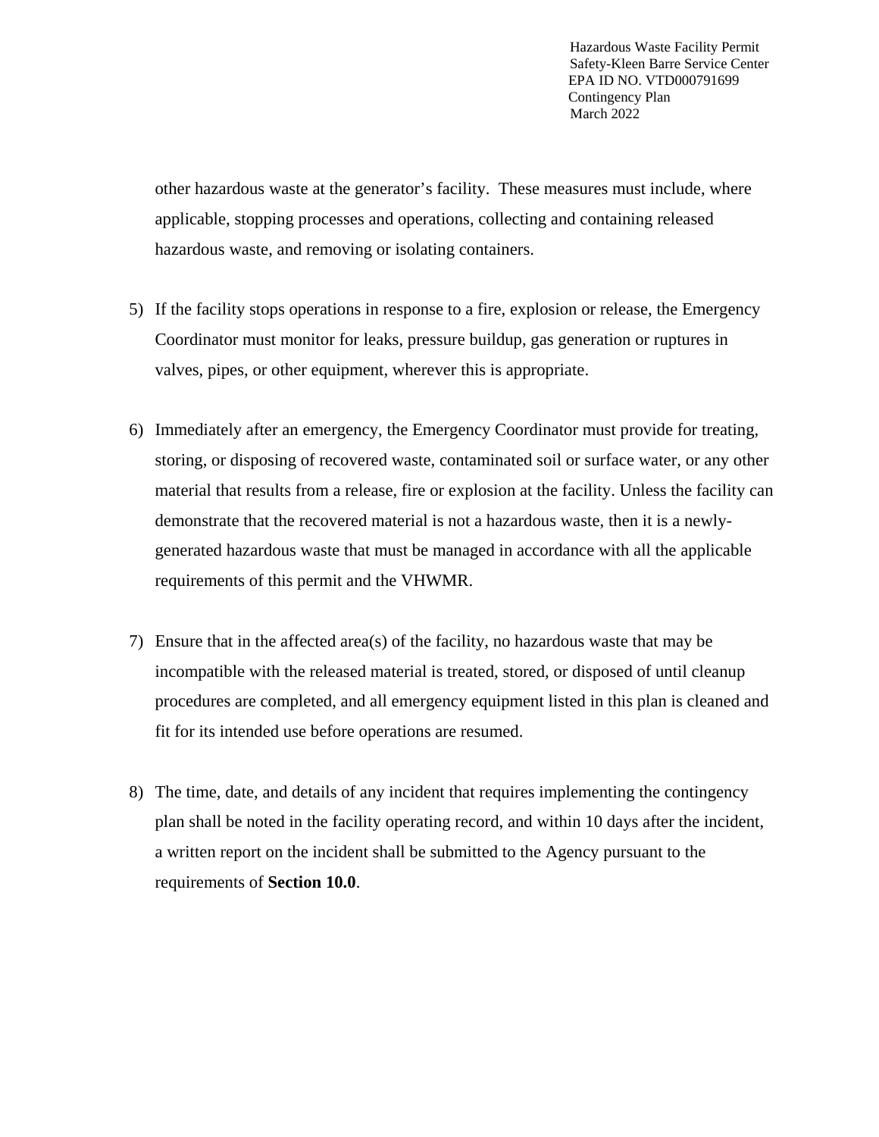other hazardous waste at the generator's facility. These measures must include, where applicable, stopping processes and operations, collecting and containing released hazardous waste, and removing or isolating containers.

- 5) If the facility stops operations in response to a fire, explosion or release, the Emergency Coordinator must monitor for leaks, pressure buildup, gas generation or ruptures in valves, pipes, or other equipment, wherever this is appropriate.
- 6) Immediately after an emergency, the Emergency Coordinator must provide for treating, storing, or disposing of recovered waste, contaminated soil or surface water, or any other material that results from a release, fire or explosion at the facility. Unless the facility can demonstrate that the recovered material is not a hazardous waste, then it is a newlygenerated hazardous waste that must be managed in accordance with all the applicable requirements of this permit and the VHWMR.
- 7) Ensure that in the affected area(s) of the facility, no hazardous waste that may be incompatible with the released material is treated, stored, or disposed of until cleanup procedures are completed, and all emergency equipment listed in this plan is cleaned and fit for its intended use before operations are resumed.
- 8) The time, date, and details of any incident that requires implementing the contingency plan shall be noted in the facility operating record, and within 10 days after the incident, a written report on the incident shall be submitted to the Agency pursuant to the requirements of **Section 10.0**.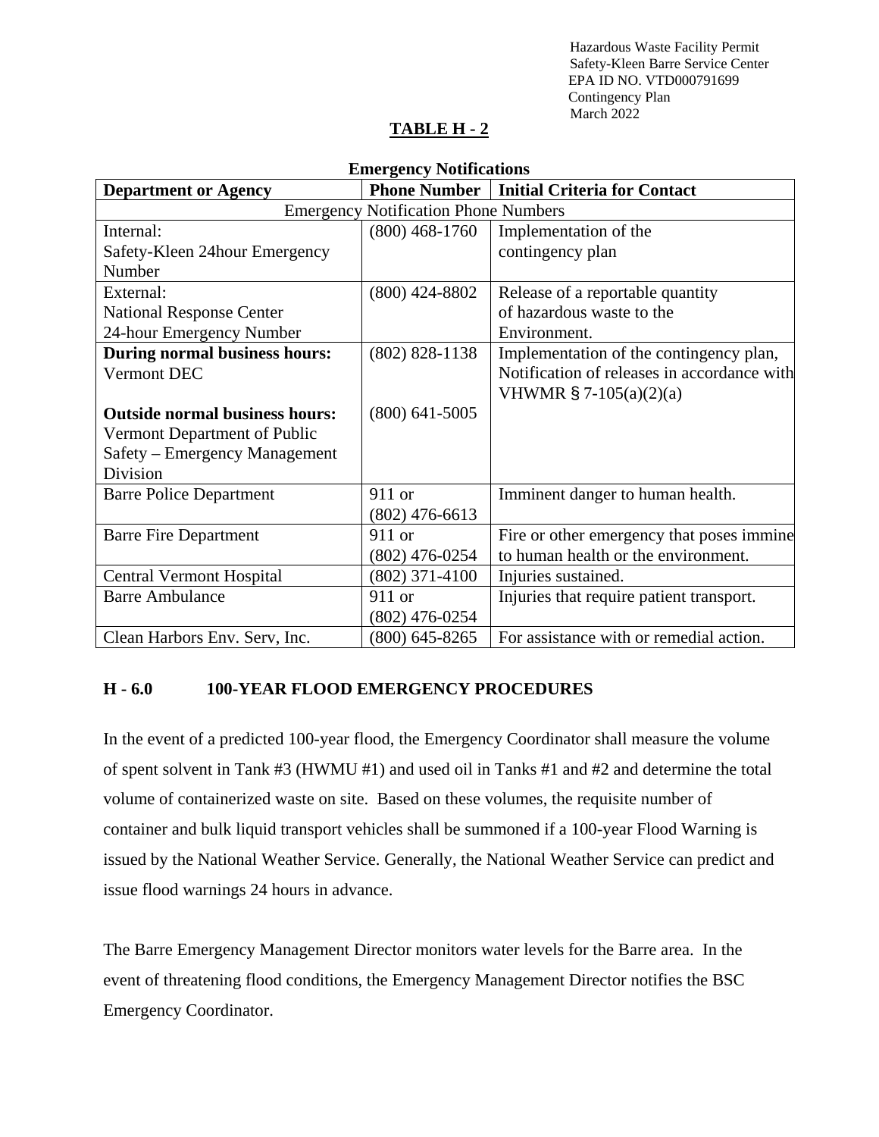# **TABLE H - 2**

| <b>Emergency Notifications</b>              |                  |                                                    |  |  |  |  |  |  |  |
|---------------------------------------------|------------------|----------------------------------------------------|--|--|--|--|--|--|--|
| <b>Department or Agency</b>                 |                  | <b>Phone Number   Initial Criteria for Contact</b> |  |  |  |  |  |  |  |
| <b>Emergency Notification Phone Numbers</b> |                  |                                                    |  |  |  |  |  |  |  |
| Internal:                                   | $(800)$ 468-1760 | Implementation of the                              |  |  |  |  |  |  |  |
| Safety-Kleen 24hour Emergency               |                  | contingency plan                                   |  |  |  |  |  |  |  |
| Number                                      |                  |                                                    |  |  |  |  |  |  |  |
| External:                                   | $(800)$ 424-8802 | Release of a reportable quantity                   |  |  |  |  |  |  |  |
| <b>National Response Center</b>             |                  | of hazardous waste to the                          |  |  |  |  |  |  |  |
| 24-hour Emergency Number                    |                  | Environment.                                       |  |  |  |  |  |  |  |
| <b>During normal business hours:</b>        | $(802)$ 828-1138 | Implementation of the contingency plan,            |  |  |  |  |  |  |  |
| Vermont DEC                                 |                  | Notification of releases in accordance with        |  |  |  |  |  |  |  |
|                                             |                  | VHWMR $\S$ 7-105(a)(2)(a)                          |  |  |  |  |  |  |  |
| <b>Outside normal business hours:</b>       | $(800)$ 641-5005 |                                                    |  |  |  |  |  |  |  |
| Vermont Department of Public                |                  |                                                    |  |  |  |  |  |  |  |
| Safety – Emergency Management               |                  |                                                    |  |  |  |  |  |  |  |
| Division                                    |                  |                                                    |  |  |  |  |  |  |  |
| <b>Barre Police Department</b>              | 911 or           | Imminent danger to human health.                   |  |  |  |  |  |  |  |
|                                             | $(802)$ 476-6613 |                                                    |  |  |  |  |  |  |  |
| <b>Barre Fire Department</b>                | $911$ or         | Fire or other emergency that poses immine          |  |  |  |  |  |  |  |
|                                             | $(802)$ 476-0254 | to human health or the environment.                |  |  |  |  |  |  |  |
| <b>Central Vermont Hospital</b>             | $(802)$ 371-4100 | Injuries sustained.                                |  |  |  |  |  |  |  |
| <b>Barre Ambulance</b>                      | 911 or           | Injuries that require patient transport.           |  |  |  |  |  |  |  |
|                                             | $(802)$ 476-0254 |                                                    |  |  |  |  |  |  |  |
| Clean Harbors Env. Serv, Inc.               | $(800)$ 645-8265 | For assistance with or remedial action.            |  |  |  |  |  |  |  |

#### **H - 6.0 100-YEAR FLOOD EMERGENCY PROCEDURES**

In the event of a predicted 100-year flood, the Emergency Coordinator shall measure the volume of spent solvent in Tank #3 (HWMU #1) and used oil in Tanks #1 and #2 and determine the total volume of containerized waste on site. Based on these volumes, the requisite number of container and bulk liquid transport vehicles shall be summoned if a 100-year Flood Warning is issued by the National Weather Service. Generally, the National Weather Service can predict and issue flood warnings 24 hours in advance.

The Barre Emergency Management Director monitors water levels for the Barre area. In the event of threatening flood conditions, the Emergency Management Director notifies the BSC Emergency Coordinator.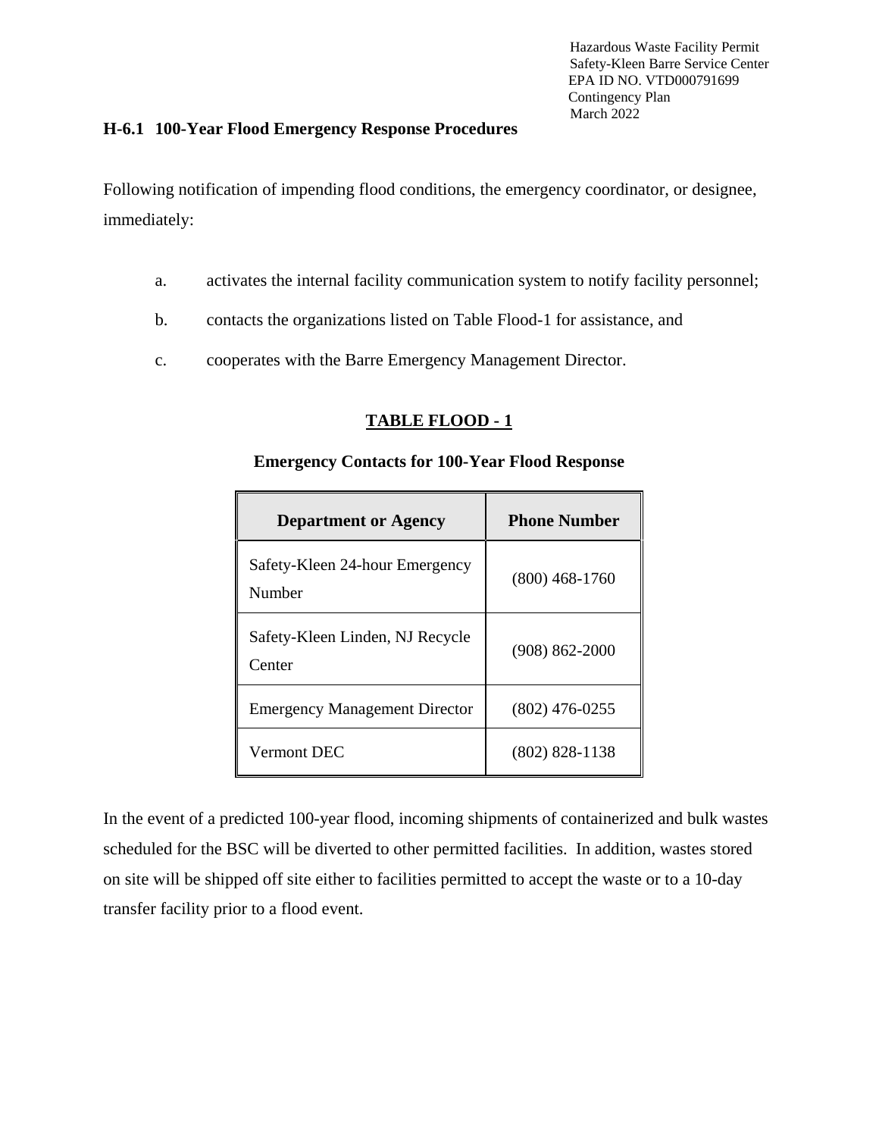#### **H-6.1 100-Year Flood Emergency Response Procedures**

Following notification of impending flood conditions, the emergency coordinator, or designee, immediately:

- a. activates the internal facility communication system to notify facility personnel;
- b. contacts the organizations listed on Table Flood-1 for assistance, and
- c. cooperates with the Barre Emergency Management Director.

#### **TABLE FLOOD - 1**

#### **Emergency Contacts for 100-Year Flood Response**

| <b>Department or Agency</b>               | <b>Phone Number</b> |
|-------------------------------------------|---------------------|
| Safety-Kleen 24-hour Emergency<br>Number  | $(800)$ 468-1760    |
| Safety-Kleen Linden, NJ Recycle<br>Center | $(908) 862 - 2000$  |
| <b>Emergency Management Director</b>      | $(802)$ 476-0255    |
| Vermont DEC                               | $(802) 828 - 1138$  |

In the event of a predicted 100-year flood, incoming shipments of containerized and bulk wastes scheduled for the BSC will be diverted to other permitted facilities. In addition, wastes stored on site will be shipped off site either to facilities permitted to accept the waste or to a 10-day transfer facility prior to a flood event.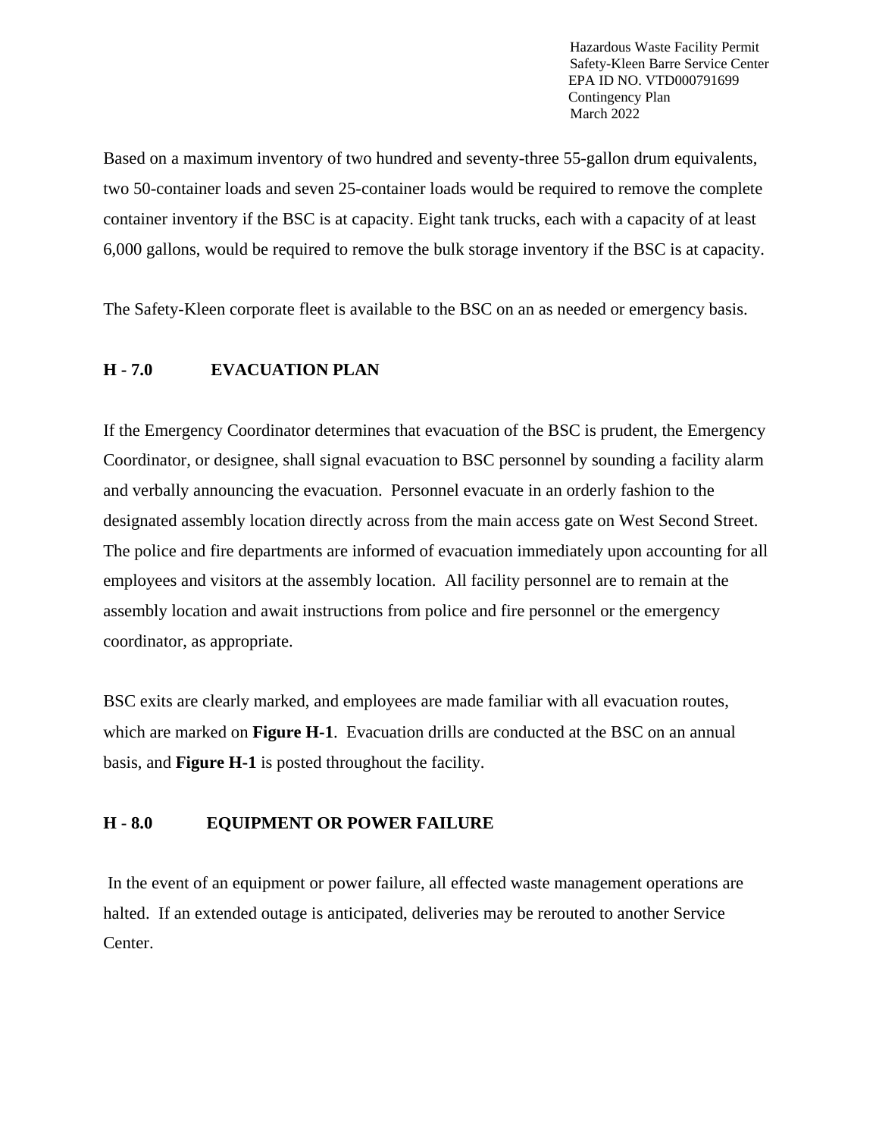Based on a maximum inventory of two hundred and seventy-three 55-gallon drum equivalents, two 50-container loads and seven 25-container loads would be required to remove the complete container inventory if the BSC is at capacity. Eight tank trucks, each with a capacity of at least 6,000 gallons, would be required to remove the bulk storage inventory if the BSC is at capacity.

The Safety-Kleen corporate fleet is available to the BSC on an as needed or emergency basis.

#### **H - 7.0 EVACUATION PLAN**

If the Emergency Coordinator determines that evacuation of the BSC is prudent, the Emergency Coordinator, or designee, shall signal evacuation to BSC personnel by sounding a facility alarm and verbally announcing the evacuation. Personnel evacuate in an orderly fashion to the designated assembly location directly across from the main access gate on West Second Street. The police and fire departments are informed of evacuation immediately upon accounting for all employees and visitors at the assembly location. All facility personnel are to remain at the assembly location and await instructions from police and fire personnel or the emergency coordinator, as appropriate.

BSC exits are clearly marked, and employees are made familiar with all evacuation routes, which are marked on **Figure H-1**. Evacuation drills are conducted at the BSC on an annual basis, and **Figure H-1** is posted throughout the facility.

#### **H - 8.0 EQUIPMENT OR POWER FAILURE**

In the event of an equipment or power failure, all effected waste management operations are halted. If an extended outage is anticipated, deliveries may be rerouted to another Service Center.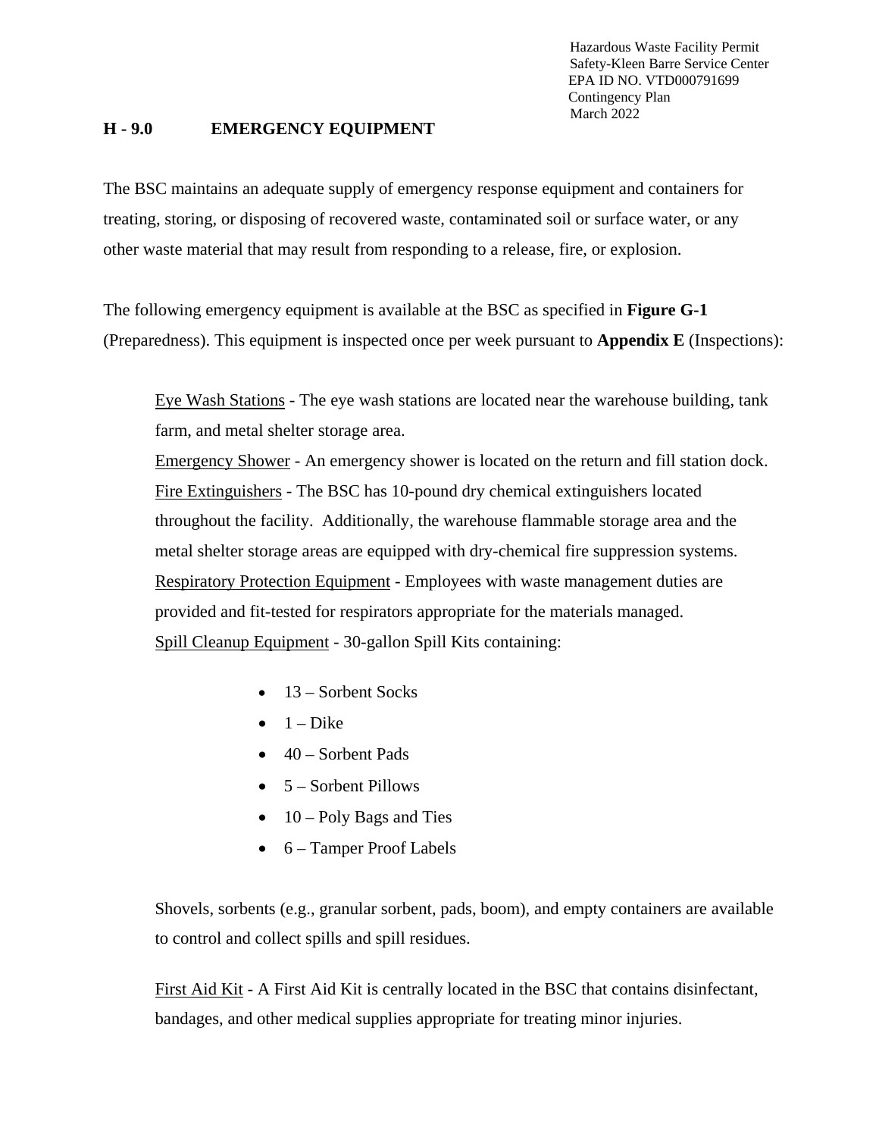#### **H - 9.0 EMERGENCY EQUIPMENT**

The BSC maintains an adequate supply of emergency response equipment and containers for treating, storing, or disposing of recovered waste, contaminated soil or surface water, or any other waste material that may result from responding to a release, fire, or explosion.

The following emergency equipment is available at the BSC as specified in **Figure G-1** (Preparedness). This equipment is inspected once per week pursuant to **Appendix E** (Inspections):

Eye Wash Stations - The eye wash stations are located near the warehouse building, tank farm, and metal shelter storage area.

Emergency Shower - An emergency shower is located on the return and fill station dock. Fire Extinguishers - The BSC has 10-pound dry chemical extinguishers located throughout the facility. Additionally, the warehouse flammable storage area and the metal shelter storage areas are equipped with dry-chemical fire suppression systems. Respiratory Protection Equipment - Employees with waste management duties are provided and fit-tested for respirators appropriate for the materials managed. Spill Cleanup Equipment - 30-gallon Spill Kits containing:

- $\bullet$  13 Sorbent Socks
- $\bullet$  1 Dike
- $\bullet$  40 Sorbent Pads
- $\bullet$  5 Sorbent Pillows
- $\bullet$  10 Poly Bags and Ties
- 6 Tamper Proof Labels

Shovels, sorbents (e.g., granular sorbent, pads, boom), and empty containers are available to control and collect spills and spill residues.

First Aid Kit - A First Aid Kit is centrally located in the BSC that contains disinfectant, bandages, and other medical supplies appropriate for treating minor injuries.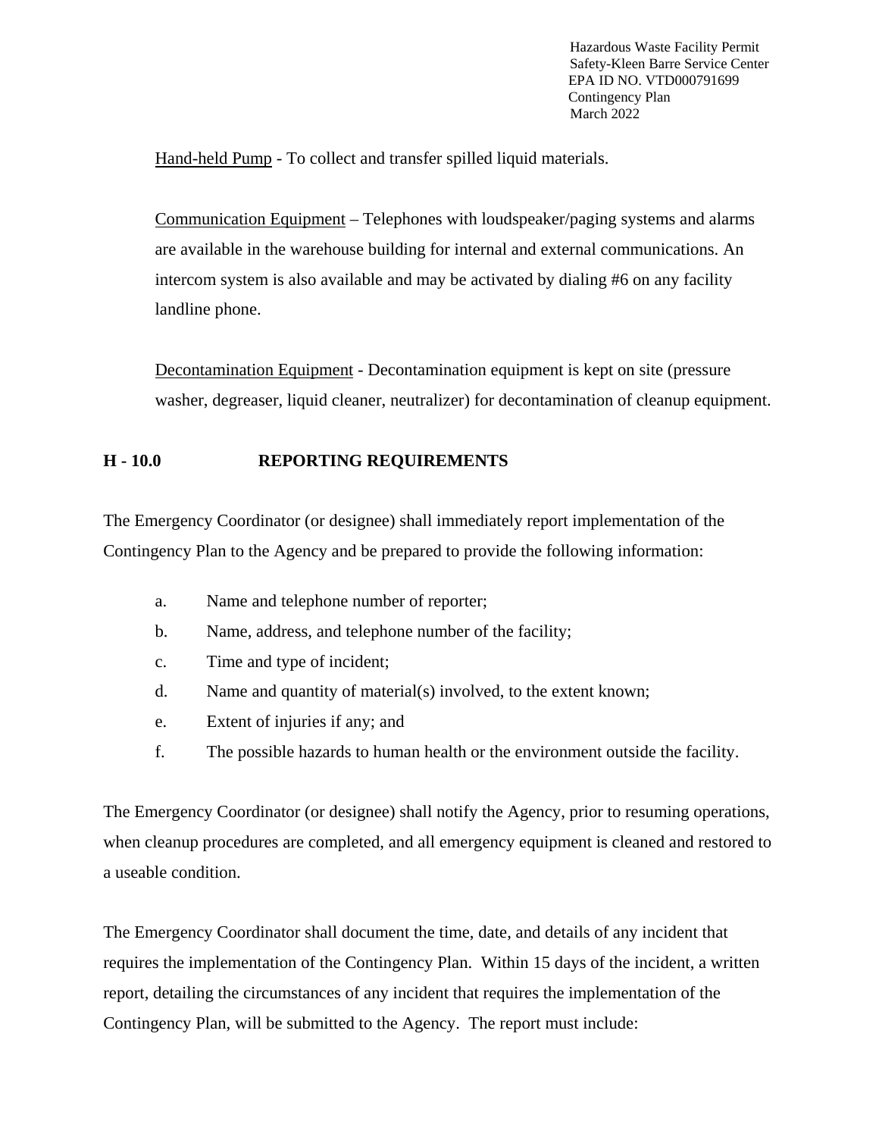Hand-held Pump - To collect and transfer spilled liquid materials.

Communication Equipment – Telephones with loudspeaker/paging systems and alarms are available in the warehouse building for internal and external communications. An intercom system is also available and may be activated by dialing #6 on any facility landline phone.

Decontamination Equipment - Decontamination equipment is kept on site (pressure washer, degreaser, liquid cleaner, neutralizer) for decontamination of cleanup equipment.

## **H - 10.0 REPORTING REQUIREMENTS**

The Emergency Coordinator (or designee) shall immediately report implementation of the Contingency Plan to the Agency and be prepared to provide the following information:

- a. Name and telephone number of reporter;
- b. Name, address, and telephone number of the facility;
- c. Time and type of incident;
- d. Name and quantity of material(s) involved, to the extent known;
- e. Extent of injuries if any; and
- f. The possible hazards to human health or the environment outside the facility.

The Emergency Coordinator (or designee) shall notify the Agency, prior to resuming operations, when cleanup procedures are completed, and all emergency equipment is cleaned and restored to a useable condition.

The Emergency Coordinator shall document the time, date, and details of any incident that requires the implementation of the Contingency Plan. Within 15 days of the incident, a written report, detailing the circumstances of any incident that requires the implementation of the Contingency Plan, will be submitted to the Agency. The report must include: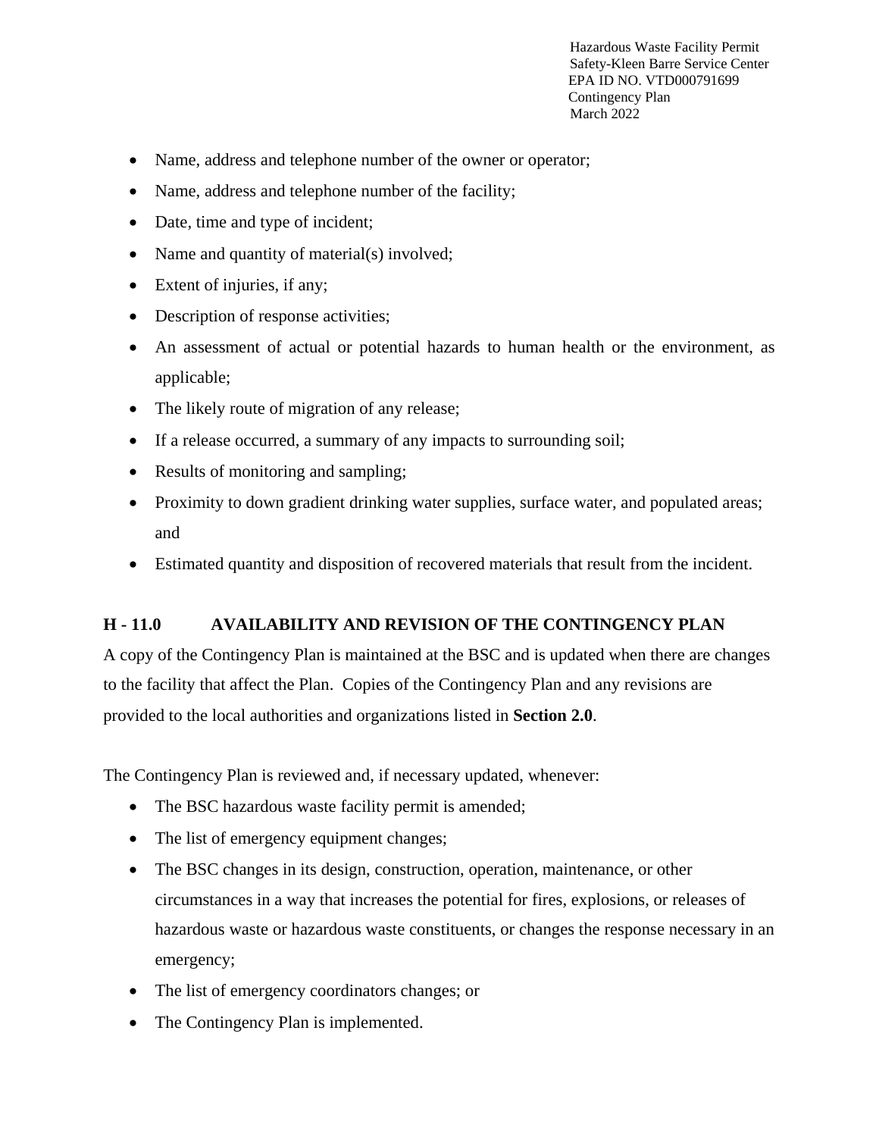- Name, address and telephone number of the owner or operator;
- Name, address and telephone number of the facility;
- Date, time and type of incident;
- Name and quantity of material(s) involved;
- Extent of injuries, if any;
- Description of response activities;
- An assessment of actual or potential hazards to human health or the environment, as applicable;
- The likely route of migration of any release;
- If a release occurred, a summary of any impacts to surrounding soil;
- Results of monitoring and sampling;
- Proximity to down gradient drinking water supplies, surface water, and populated areas; and
- Estimated quantity and disposition of recovered materials that result from the incident.

#### **H - 11.0 AVAILABILITY AND REVISION OF THE CONTINGENCY PLAN**

A copy of the Contingency Plan is maintained at the BSC and is updated when there are changes to the facility that affect the Plan. Copies of the Contingency Plan and any revisions are provided to the local authorities and organizations listed in **Section 2.0**.

The Contingency Plan is reviewed and, if necessary updated, whenever:

- The BSC hazardous waste facility permit is amended;
- The list of emergency equipment changes;
- The BSC changes in its design, construction, operation, maintenance, or other circumstances in a way that increases the potential for fires, explosions, or releases of hazardous waste or hazardous waste constituents, or changes the response necessary in an emergency;
- The list of emergency coordinators changes; or
- The Contingency Plan is implemented.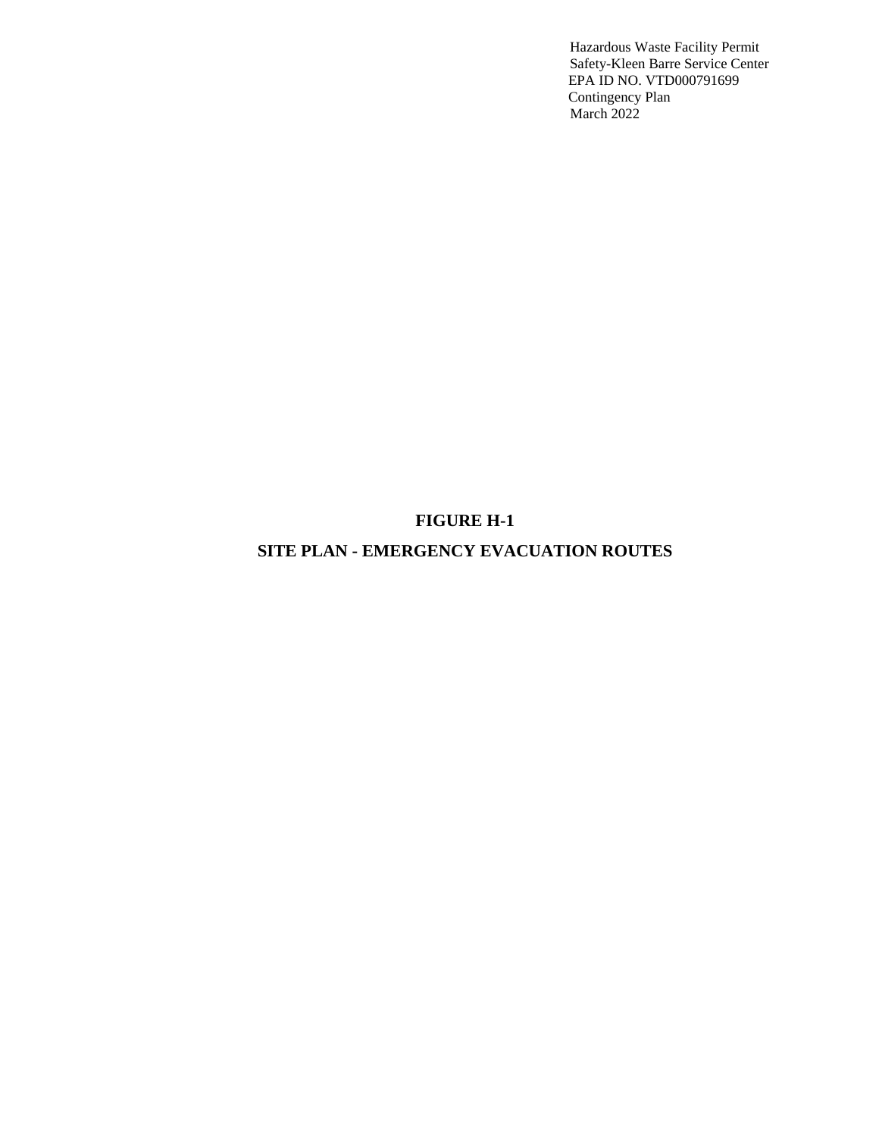# **FIGURE H-1**

# **SITE PLAN - EMERGENCY EVACUATION ROUTES**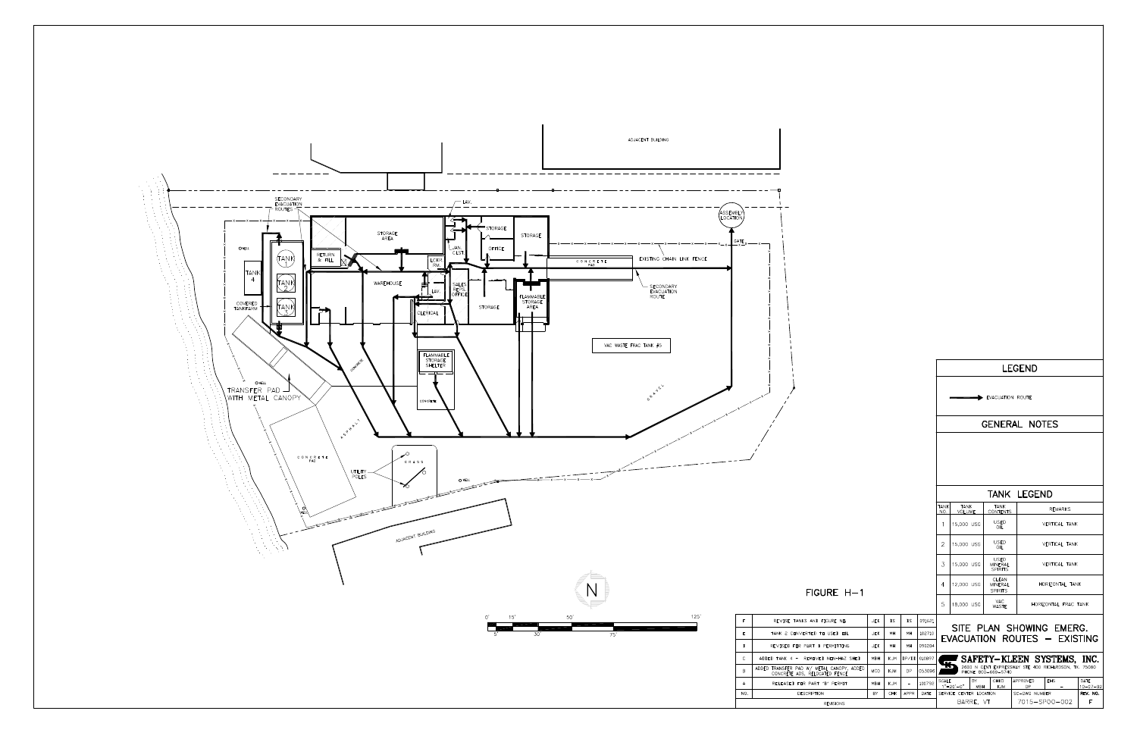

| TANK LEGEND |            |                                                                              |              |                                                                                                        |                  |                                         |                                                                               |                         |                      |                                                          |  |  |  |
|-------------|------------|------------------------------------------------------------------------------|--------------|--------------------------------------------------------------------------------------------------------|------------------|-----------------------------------------|-------------------------------------------------------------------------------|-------------------------|----------------------|----------------------------------------------------------|--|--|--|
|             |            |                                                                              |              | NO.                                                                                                    |                  |                                         | <b>TANK</b>                                                                   | <b>REMARKS</b>          |                      |                                                          |  |  |  |
|             |            |                                                                              |              |                                                                                                        |                  |                                         | <b>USED</b><br>OIL                                                            |                         | <b>VERTICAL TANK</b> |                                                          |  |  |  |
|             |            |                                                                              |              |                                                                                                        |                  |                                         | <b>USED</b><br>OII                                                            |                         | VERTICAL TANK        |                                                          |  |  |  |
|             |            | USED<br>3<br>15.000 USG<br><b>VERTICAL TANK</b><br>MINERAL<br><b>SPIRITS</b> |              |                                                                                                        |                  |                                         |                                                                               |                         |                      |                                                          |  |  |  |
| E H-1       |            |                                                                              |              |                                                                                                        |                  |                                         | CLEAN<br><b>MINFRAL</b><br><b>SPIRITS</b>                                     |                         | HORIZONTAL TANK      |                                                          |  |  |  |
|             |            |                                                                              |              |                                                                                                        |                  |                                         | VAC.<br><b>WASTE</b>                                                          |                         | HORIZONTAL FRAC TANK |                                                          |  |  |  |
| <b>JEK</b>  | <b>DS</b>  | <b>DS</b>                                                                    | 091621       |                                                                                                        |                  |                                         |                                                                               |                         |                      |                                                          |  |  |  |
| <b>JEK</b>  | MH         | MH                                                                           | 102710       |                                                                                                        |                  |                                         |                                                                               |                         |                      |                                                          |  |  |  |
| <b>JEK</b>  | MH         | MH                                                                           | 090204       |                                                                                                        |                  |                                         |                                                                               |                         |                      |                                                          |  |  |  |
| MBH         | KJM        |                                                                              | 010897       | SAFETY-KLEEN SYSTEMS, INC.                                                                             |                  |                                         |                                                                               |                         |                      |                                                          |  |  |  |
| <b>MCO</b>  | <b>KJM</b> | DP                                                                           | 053096       | $\overline{\phantom{a}}$<br>2600 N CENT EXPRESSWAY STE 400 RICHARDSON, TX, 75080<br>PHONE 800-669-5740 |                  |                                         |                                                                               |                         |                      |                                                          |  |  |  |
| MBH         | <b>KJM</b> | ÷.                                                                           | 100792       |                                                                                                        |                  | <b>BY</b><br><b>MBH</b>                 | CHKD<br><b>KJM</b>                                                            | APPROVED<br>DP          | <b>FHS</b>           | DATF<br>$10 - 07 - 92$                                   |  |  |  |
| <b>BY</b>   | CHK        | <b>APPR</b>                                                                  | DATE         |                                                                                                        |                  |                                         |                                                                               |                         | SC-DWG NUMBER        |                                                          |  |  |  |
|             |            |                                                                              | <b>SIONS</b> |                                                                                                        |                  |                                         |                                                                               | 7015-SP00-002<br>F      |                      |                                                          |  |  |  |
|             |            |                                                                              |              | DP/DD                                                                                                  | 1<br>2<br>4<br>5 | <b>TANK</b><br>SCALE<br>$1" = 20' - 0"$ | <b>TANK</b><br>VOLUME<br>15,000 USG<br>15,000 USG<br>12,000 USG<br>18,000 USG | SERVICE CENTER LOCATION | CONTENTS             | SITE PLAN SHOWING EMERG.<br>EVACUATION ROUTES - EXISTING |  |  |  |

LEGEND

GENERAL NOTES

EVACUATION ROUTE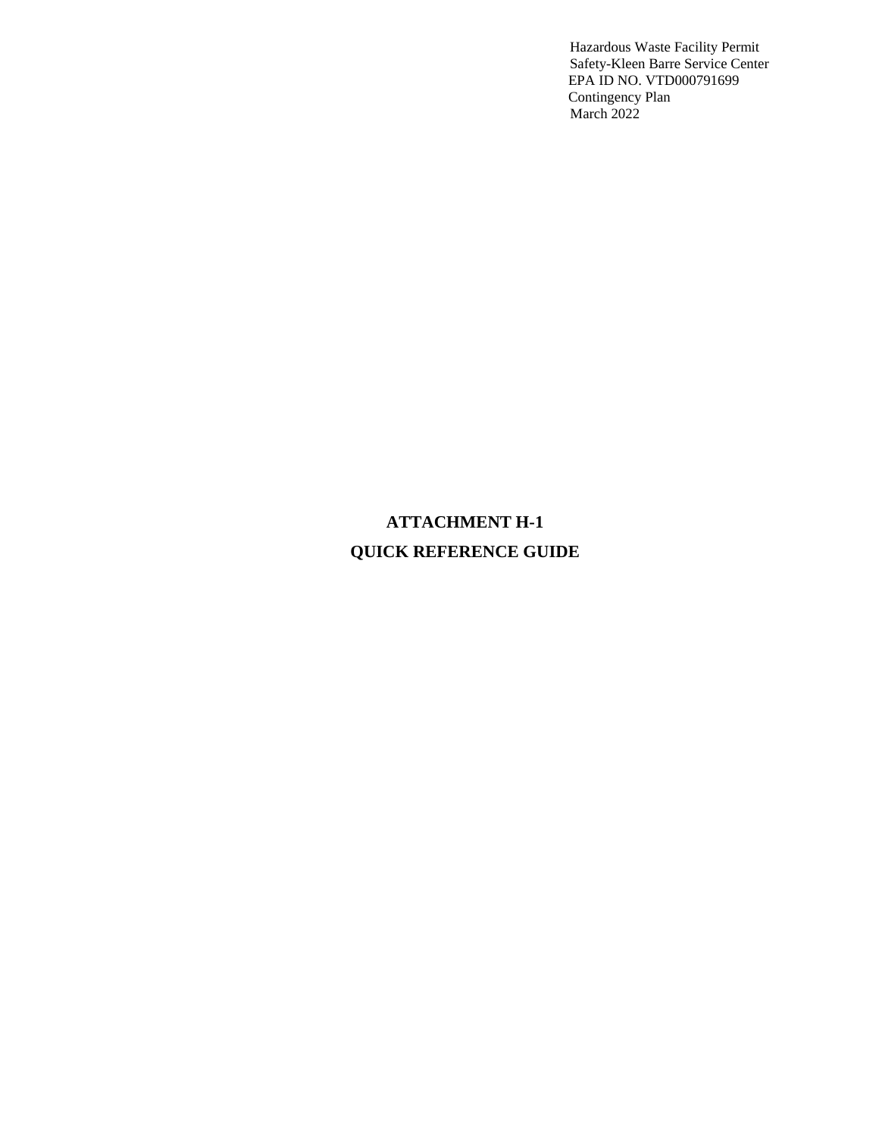# **ATTACHMENT H-1 QUICK REFERENCE GUIDE**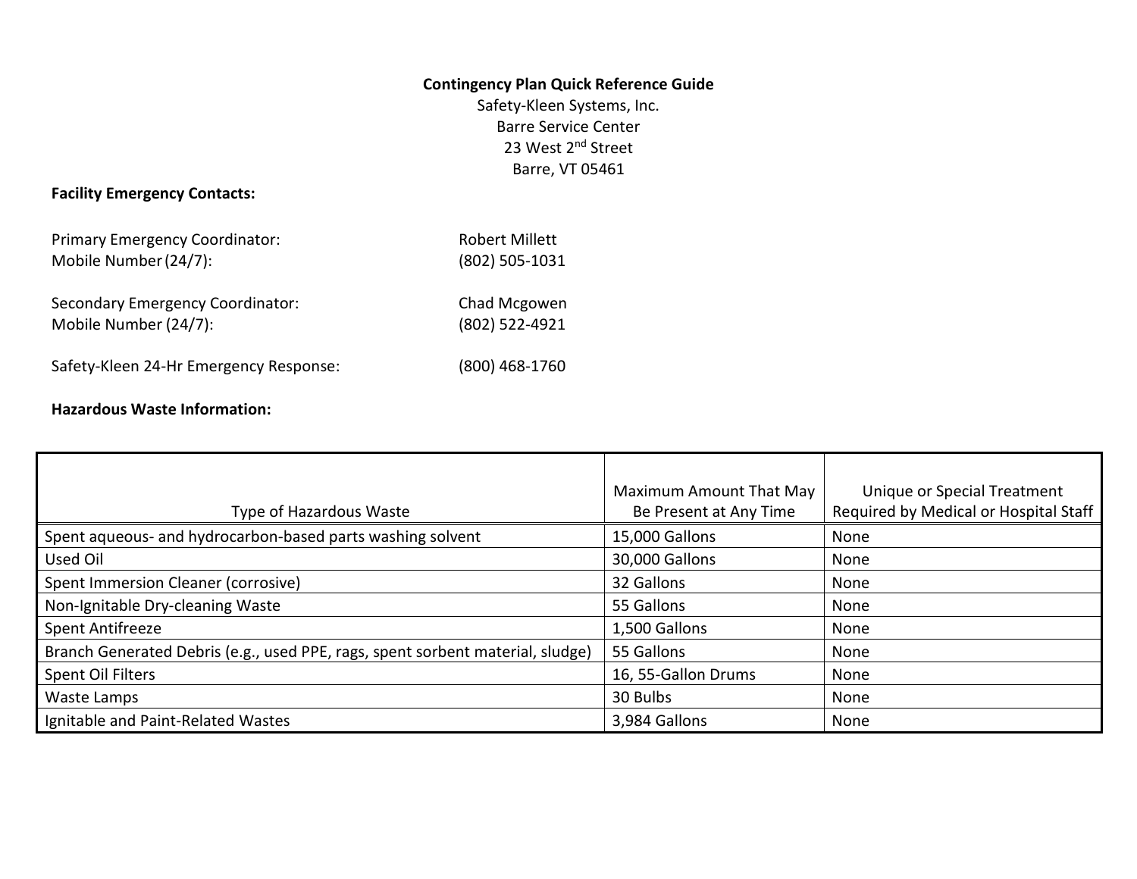#### **Contingency Plan Quick Reference Guide**

Safety-Kleen Systems, Inc. Barre Service Center 23 West 2<sup>nd</sup> Street Barre, VT 05461

# **Facility Emergency Contacts:**

| <b>Primary Emergency Coordinator:</b>  | <b>Robert Millett</b> |  |  |  |  |
|----------------------------------------|-----------------------|--|--|--|--|
| Mobile Number (24/7):                  | (802) 505-1031        |  |  |  |  |
| Secondary Emergency Coordinator:       | Chad Mcgowen          |  |  |  |  |
| Mobile Number (24/7):                  | (802) 522-4921        |  |  |  |  |
| Safety-Kleen 24-Hr Emergency Response: | (800) 468-1760        |  |  |  |  |

# **Hazardous Waste Information:**

|                                                                                | Maximum Amount That May | Unique or Special Treatment           |
|--------------------------------------------------------------------------------|-------------------------|---------------------------------------|
| Type of Hazardous Waste                                                        | Be Present at Any Time  | Required by Medical or Hospital Staff |
| Spent aqueous- and hydrocarbon-based parts washing solvent                     | 15,000 Gallons          | None                                  |
| Used Oil                                                                       | 30,000 Gallons          | None                                  |
| Spent Immersion Cleaner (corrosive)                                            | 32 Gallons              | None                                  |
| Non-Ignitable Dry-cleaning Waste                                               | 55 Gallons              | None                                  |
| Spent Antifreeze                                                               | 1,500 Gallons           | None                                  |
| Branch Generated Debris (e.g., used PPE, rags, spent sorbent material, sludge) | 55 Gallons              | None                                  |
| Spent Oil Filters                                                              | 16, 55-Gallon Drums     | None                                  |
| Waste Lamps                                                                    | 30 Bulbs                | None                                  |
| Ignitable and Paint-Related Wastes                                             | 3,984 Gallons           | None                                  |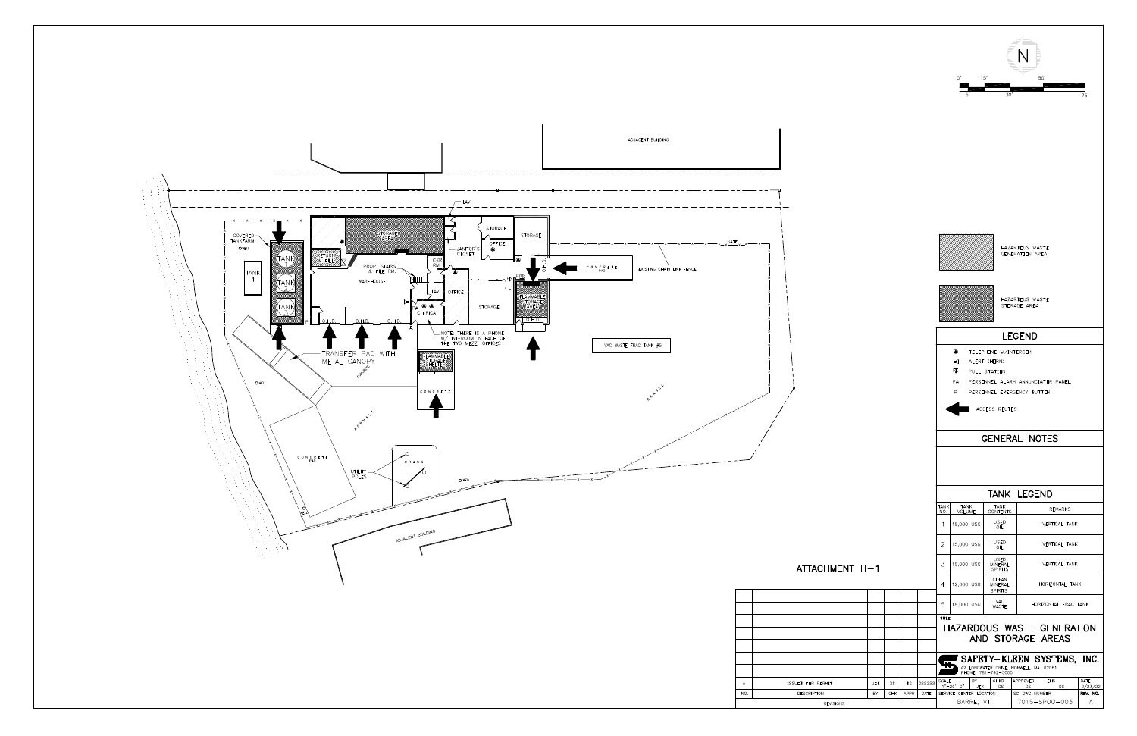

|               |                                 |     |      |        | 0,<br>50'<br>15'<br>30'<br>5<br>75' |                                            |            |                                                                      |                                    |                 |                                 |  |                     |
|---------------|---------------------------------|-----|------|--------|-------------------------------------|--------------------------------------------|------------|----------------------------------------------------------------------|------------------------------------|-----------------|---------------------------------|--|---------------------|
|               |                                 |     |      |        |                                     |                                            |            |                                                                      |                                    |                 |                                 |  |                     |
|               |                                 |     |      |        |                                     |                                            |            |                                                                      | HAZARDOUS WASTE<br>GENERATION AREA |                 |                                 |  |                     |
|               | HAZARDOUS WASTE<br>STORAGE AREA |     |      |        |                                     |                                            |            |                                                                      |                                    |                 |                                 |  |                     |
| <b>LEGEND</b> |                                 |     |      |        |                                     |                                            |            |                                                                      |                                    |                 |                                 |  |                     |
|               |                                 |     |      |        |                                     | ۰                                          |            | TELEPHONE W/INTERCOM                                                 |                                    |                 |                                 |  |                     |
|               |                                 |     |      |        |                                     | $\overline{\mathcal{A}}$                   |            | ALERT (HORN)                                                         |                                    |                 |                                 |  |                     |
|               |                                 |     |      |        |                                     | Ρß<br>PA                                   |            | PULL STATION<br>PERSONNEL ALARM ANNUNCIATOR PANEL                    |                                    |                 |                                 |  |                     |
|               |                                 |     |      |        |                                     | P                                          |            | PERSONNEL EMERGENCY BUTTON                                           |                                    |                 |                                 |  |                     |
|               |                                 |     |      |        |                                     |                                            |            | ACCESS ROUTES                                                        |                                    |                 |                                 |  |                     |
|               |                                 |     |      |        |                                     |                                            |            |                                                                      |                                    |                 |                                 |  |                     |
|               |                                 |     |      |        |                                     |                                            |            | <b>GENERAL NOTES</b>                                                 |                                    |                 |                                 |  |                     |
|               |                                 |     |      |        |                                     |                                            |            |                                                                      |                                    |                 |                                 |  |                     |
|               |                                 |     |      |        | TANK                                | TANK                                       |            | TANK LEGEND<br>TANK                                                  |                                    |                 |                                 |  |                     |
|               |                                 |     |      |        | NO.<br>1                            | <b>VOLUME</b><br>15,000 USG                |            | <b>CONTENTS</b><br>USED                                              |                                    |                 | <b>REMARKS</b><br>VERTICAL TANK |  |                     |
|               |                                 |     |      |        | 2                                   | 15,000 USG                                 |            | OIL<br><b>USED</b><br>OIL                                            |                                    |                 | VERTICAL TANK                   |  |                     |
| $ENT H-1$     |                                 |     |      |        | 3                                   | 15,000 USG                                 |            | USED<br><b>MINERAL</b><br><b>SPIRITS</b>                             |                                    | VERTICAL TANK   |                                 |  |                     |
|               |                                 |     |      |        | 4                                   | 12,000 USG                                 |            | CLEAN<br>MINERAL<br><b>SPIRITS</b>                                   |                                    | HORIZONTAL TANK |                                 |  |                     |
|               |                                 |     |      |        | 5                                   | 18,000 USG                                 |            | VAC<br>WASTE                                                         |                                    |                 | HORIZONTAL FRAC TANK            |  |                     |
|               |                                 |     |      |        | TITLE                               |                                            |            | HAZARDOUS WASTE GENERATION<br>AND STORAGE AREAS                      |                                    |                 |                                 |  |                     |
|               |                                 |     |      |        |                                     |                                            |            | SAFETY-KLEEN SYSTEMS, INC.<br>42 LONGWATER DRIVE, NORWELL, MA. 02061 |                                    |                 |                                 |  |                     |
|               | <b>JEK</b>                      | DS  | DS   | 022322 | SCALE                               |                                            | BY         | PHONE: 781-792-5000<br>CHKD                                          | APPROVED                           |                 | EHS                             |  | DATE                |
|               | BY                              | CHK | APPR | DATE   |                                     | $1" = 20' - 0"$<br>SERVICE CENTER LOCATION | <b>JEK</b> | DS                                                                   | DS<br>SC-DWG NUMBER                |                 | DS                              |  | 2/23/22<br>REV. NO. |
| <b>PM</b>     |                                 |     |      |        |                                     | BARRE, VT                                  |            |                                                                      |                                    |                 | 7015-SP00-003                   |  | Α                   |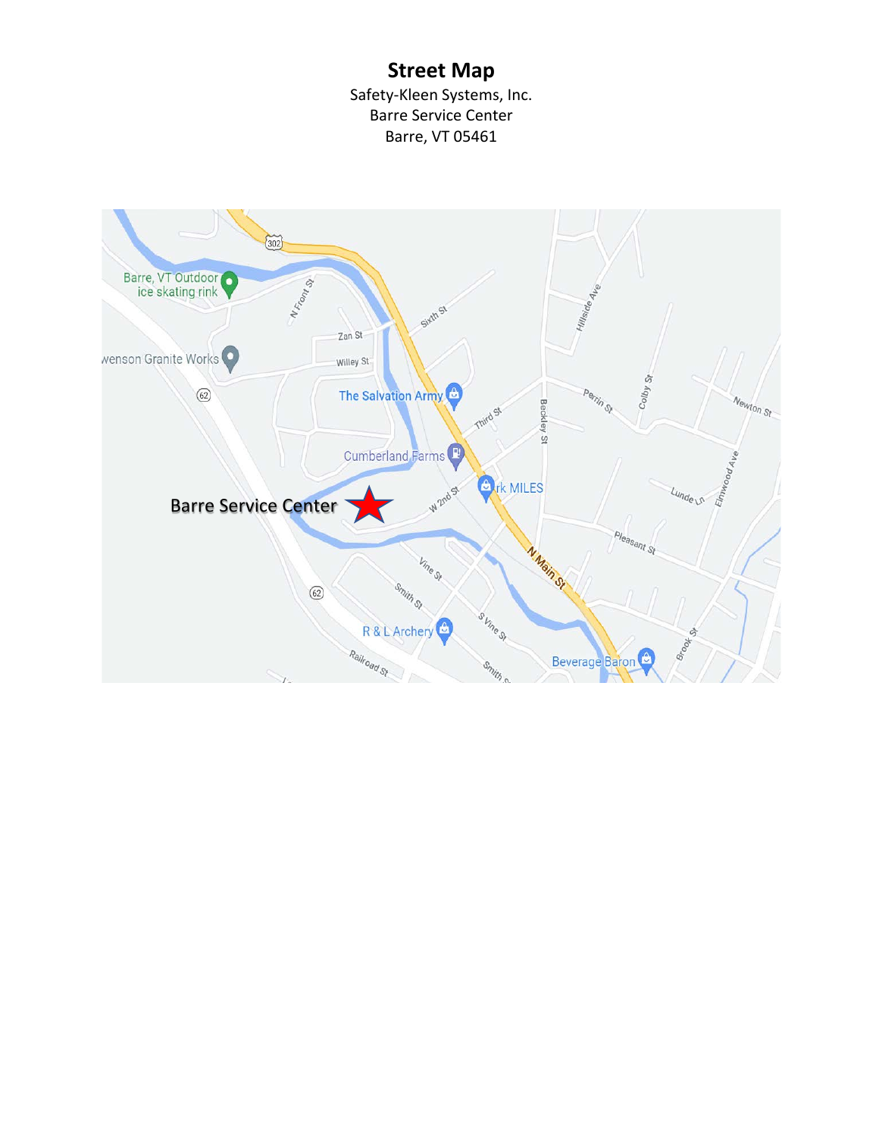# **Street Map**

Safety-Kleen Systems, Inc. Barre Service Center Barre, VT 05461

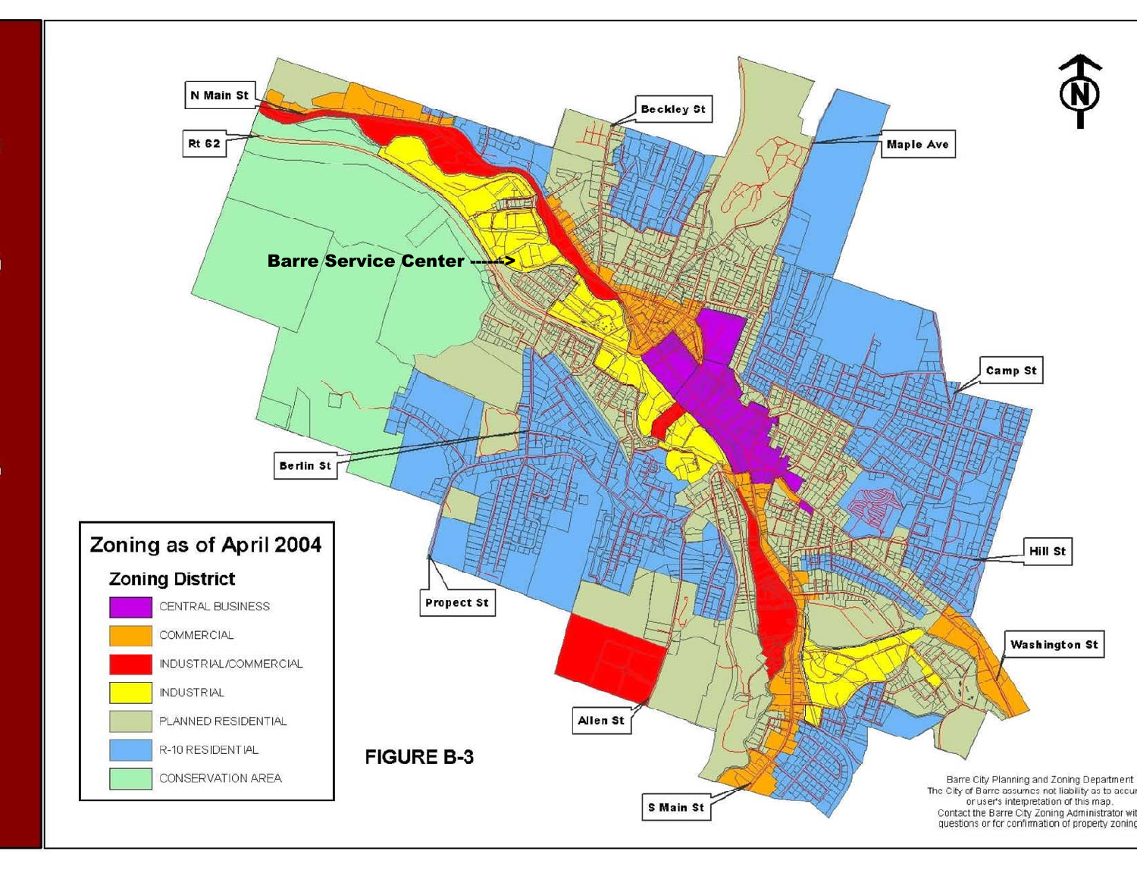